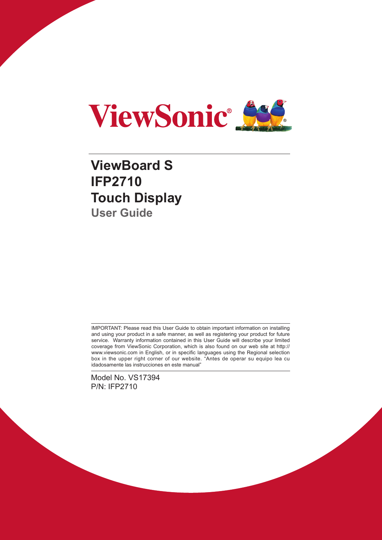

# **ViewBoard S IFP2710 Touch Display User Guide**

IMPORTANT: Please read this User Guide to obtain important information on installing and using your product in a safe manner, as well as registering your product for future service. Warranty information contained in this User Guide will describe your limited coverage from ViewSonic Corporation, which is also found on our web site at http:// www.viewsonic.com in English, or in specific languages using the Regional selection box in the upper right corner of our website. "Antes de operar su equipo lea cu idadosamente las instrucciones en este manual"

Model No. VS17394 P/N: IFP2710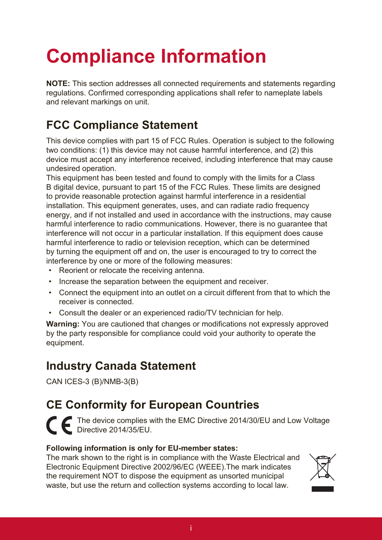# **Compliance Information**

**NOTE:** This section addresses all connected requirements and statements regarding regulations. Confirmed corresponding applications shall refer to nameplate labels and relevant markings on unit.

# **FCC Compliance Statement**

This device complies with part 15 of FCC Rules. Operation is subject to the following two conditions: (1) this device may not cause harmful interference, and (2) this device must accept any interference received, including interference that may cause undesired operation.

This equipment has been tested and found to comply with the limits for a Class B digital device, pursuant to part 15 of the FCC Rules. These limits are designed to provide reasonable protection against harmful interference in a residential installation. This equipment generates, uses, and can radiate radio frequency energy, and if not installed and used in accordance with the instructions, may cause harmful interference to radio communications. However, there is no guarantee that interference will not occur in a particular installation. If this equipment does cause harmful interference to radio or television reception, which can be determined by turning the equipment off and on, the user is encouraged to try to correct the interference by one or more of the following measures:

- Reorient or relocate the receiving antenna.
- Increase the separation between the equipment and receiver.
- Connect the equipment into an outlet on a circuit different from that to which the receiver is connected.
- Consult the dealer or an experienced radio/TV technician for help.

**Warning:** You are cautioned that changes or modifications not expressly approved by the party responsible for compliance could void your authority to operate the equipment.

### **Industry Canada Statement**

CAN ICES-3 (B)/NMB-3(B)

# **CE Conformity for European Countries**

The device complies with the EMC Directive 2014/30/EU and Low Voltage Directive 2014/35/EU.

### **Following information is only for EU-member states:**

The mark shown to the right is in compliance with the Waste Electrical and Electronic Equipment Directive 2002/96/EC (WEEE).The mark indicates the requirement NOT to dispose the equipment as unsorted municipal waste, but use the return and collection systems according to local law.

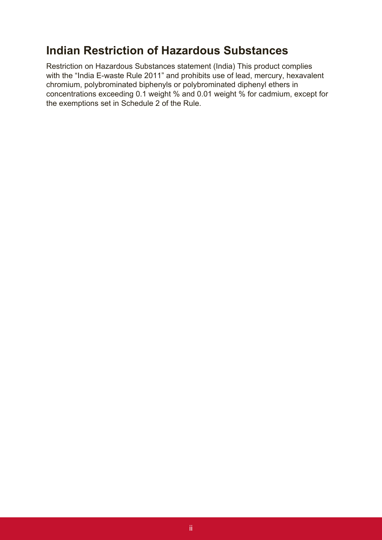### **Indian Restriction of Hazardous Substances**

Restriction on Hazardous Substances statement (India) This product complies with the "India E-waste Rule 2011" and prohibits use of lead, mercury, hexavalent chromium, polybrominated biphenyls or polybrominated diphenyl ethers in concentrations exceeding 0.1 weight % and 0.01 weight % for cadmium, except for the exemptions set in Schedule 2 of the Rule.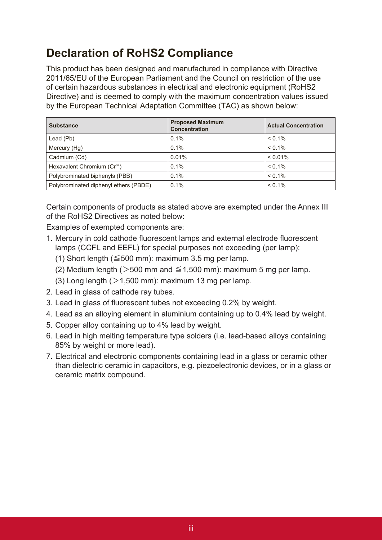# **Declaration of RoHS2 Compliance**

This product has been designed and manufactured in compliance with Directive 2011/65/EU of the European Parliament and the Council on restriction of the use of certain hazardous substances in electrical and electronic equipment (RoHS2 Directive) and is deemed to comply with the maximum concentration values issued by the European Technical Adaptation Committee (TAC) as shown below:

| <b>Substance</b>                        | <b>Proposed Maximum</b><br><b>Concentration</b> | <b>Actual Concentration</b> |
|-----------------------------------------|-------------------------------------------------|-----------------------------|
| Lead (Pb)                               | 0.1%                                            | $< 0.1\%$                   |
| Mercury (Hg)                            | 0.1%                                            | $< 0.1\%$                   |
| Cadmium (Cd)                            | 0.01%                                           | $< 0.01\%$                  |
| Hexavalent Chromium (Cr <sup>6+</sup> ) | 0.1%                                            | $< 0.1\%$                   |
| Polybrominated biphenyls (PBB)          | 0.1%                                            | $< 0.1\%$                   |
| Polybrominated diphenyl ethers (PBDE)   | 0.1%                                            | $< 0.1\%$                   |

Certain components of products as stated above are exempted under the Annex III of the RoHS2 Directives as noted below:

Examples of exempted components are:

- 1. Mercury in cold cathode fluorescent lamps and external electrode fluorescent lamps (CCFL and EEFL) for special purposes not exceeding (per lamp):
	- (1) Short length ( $\leq$  500 mm): maximum 3.5 mg per lamp.
	- (2) Medium length ( $>500$  mm and  $\leq$  1,500 mm): maximum 5 mg per lamp.
	- (3) Long length  $(>1,500$  mm): maximum 13 mg per lamp.
- 2. Lead in glass of cathode ray tubes.
- 3. Lead in glass of fluorescent tubes not exceeding 0.2% by weight.
- 4. Lead as an alloying element in aluminium containing up to 0.4% lead by weight.
- 5. Copper alloy containing up to 4% lead by weight.
- 6. Lead in high melting temperature type solders (i.e. lead-based alloys containing 85% by weight or more lead).
- 7. Electrical and electronic components containing lead in a glass or ceramic other than dielectric ceramic in capacitors, e.g. piezoelectronic devices, or in a glass or ceramic matrix compound.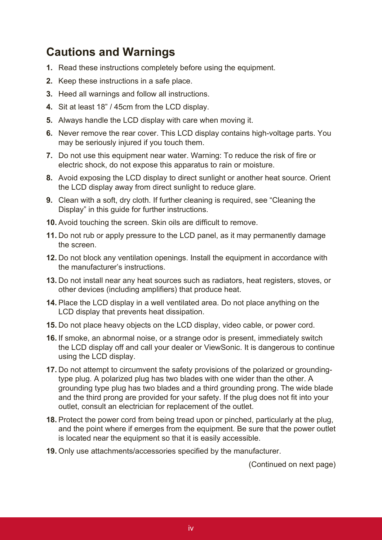### **Cautions and Warnings**

- **1.** Read these instructions completely before using the equipment.
- **2.** Keep these instructions in a safe place.
- **3.** Heed all warnings and follow all instructions.
- **4.** Sit at least 18" / 45cm from the LCD display.
- **5.** Always handle the LCD display with care when moving it.
- **6.** Never remove the rear cover. This LCD display contains high-voltage parts. You may be seriously injured if you touch them.
- **7.** Do not use this equipment near water. Warning: To reduce the risk of fire or electric shock, do not expose this apparatus to rain or moisture.
- **8.** Avoid exposing the LCD display to direct sunlight or another heat source. Orient the LCD display away from direct sunlight to reduce glare.
- **9.** Clean with a soft, dry cloth. If further cleaning is required, see "Cleaning the Display" in this guide for further instructions.
- **10.** Avoid touching the screen. Skin oils are difficult to remove.
- **11.** Do not rub or apply pressure to the LCD panel, as it may permanently damage the screen.
- **12.** Do not block any ventilation openings. Install the equipment in accordance with the manufacturer's instructions.
- **13.** Do not install near any heat sources such as radiators, heat registers, stoves, or other devices (including amplifiers) that produce heat.
- **14.** Place the LCD display in a well ventilated area. Do not place anything on the LCD display that prevents heat dissipation.
- **15.** Do not place heavy objects on the LCD display, video cable, or power cord.
- **16.** If smoke, an abnormal noise, or a strange odor is present, immediately switch the LCD display off and call your dealer or ViewSonic. It is dangerous to continue using the LCD display.
- **17.** Do not attempt to circumvent the safety provisions of the polarized or groundingtype plug. A polarized plug has two blades with one wider than the other. A grounding type plug has two blades and a third grounding prong. The wide blade and the third prong are provided for your safety. If the plug does not fit into your outlet, consult an electrician for replacement of the outlet.
- **18.** Protect the power cord from being tread upon or pinched, particularly at the plug, and the point where if emerges from the equipment. Be sure that the power outlet is located near the equipment so that it is easily accessible.
- **19.** Only use attachments/accessories specified by the manufacturer.

(Continued on next page)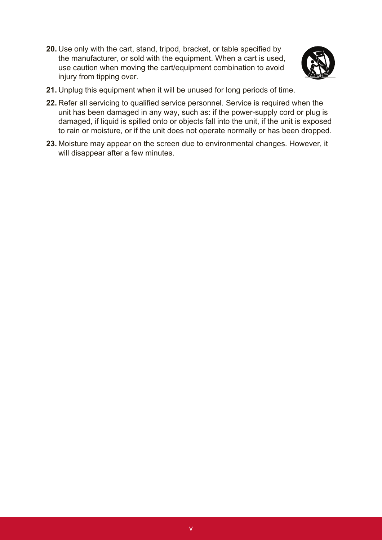**20.** Use only with the cart, stand, tripod, bracket, or table specified by the manufacturer, or sold with the equipment. When a cart is used, use caution when moving the cart/equipment combination to avoid injury from tipping over.



- **21.** Unplug this equipment when it will be unused for long periods of time.
- **22.** Refer all servicing to qualified service personnel. Service is required when the unit has been damaged in any way, such as: if the power-supply cord or plug is damaged, if liquid is spilled onto or objects fall into the unit, if the unit is exposed to rain or moisture, or if the unit does not operate normally or has been dropped.
- **23.** Moisture may appear on the screen due to environmental changes. However, it will disappear after a few minutes.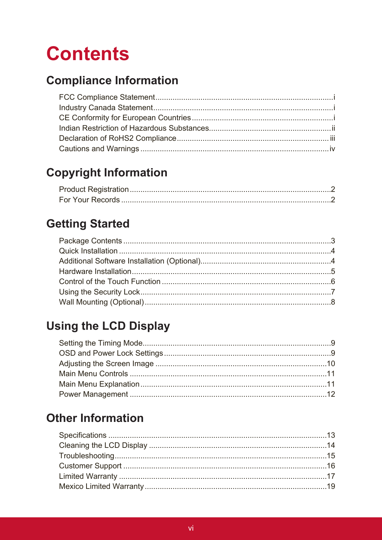# **Contents**

# **Compliance Information**

# **Copyright Information**

# **Getting Started**

# **Using the LCD Display**

# **Other Information**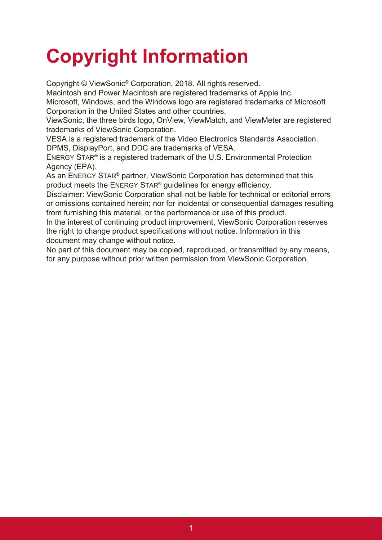# **Copyright Information**

Copyright © ViewSonic® Corporation, 2018. All rights reserved.

Macintosh and Power Macintosh are registered trademarks of Apple Inc.

Microsoft, Windows, and the Windows logo are registered trademarks of Microsoft Corporation in the United States and other countries.

ViewSonic, the three birds logo, OnView, ViewMatch, and ViewMeter are registered trademarks of ViewSonic Corporation.

VESA is a registered trademark of the Video Electronics Standards Association. DPMS, DisplayPort, and DDC are trademarks of VESA.

ENERGY STAR® is a registered trademark of the U.S. Environmental Protection Agency (EPA).

As an ENERGY STAR® partner, ViewSonic Corporation has determined that this product meets the ENERGY STAR® guidelines for energy efficiency.

Disclaimer: ViewSonic Corporation shall not be liable for technical or editorial errors or omissions contained herein; nor for incidental or consequential damages resulting from furnishing this material, or the performance or use of this product.

In the interest of continuing product improvement, ViewSonic Corporation reserves the right to change product specifications without notice. Information in this document may change without notice.

No part of this document may be copied, reproduced, or transmitted by any means, for any purpose without prior written permission from ViewSonic Corporation.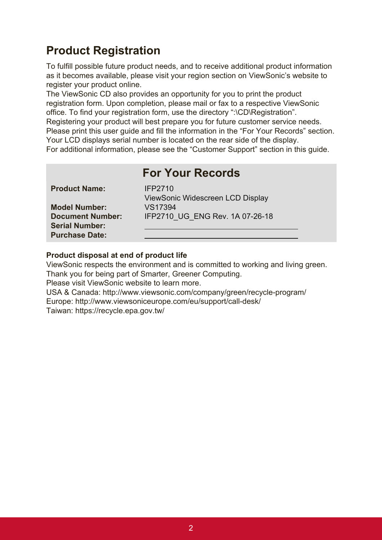## **Product Registration**

To fulfill possible future product needs, and to receive additional product information as it becomes available, please visit your region section on ViewSonic's website to register your product online.

The ViewSonic CD also provides an opportunity for you to print the product registration form. Upon completion, please mail or fax to a respective ViewSonic office. To find your registration form, use the directory ":\CD\Registration". Registering your product will best prepare you for future customer service needs. Please print this user guide and fill the information in the "For Your Records" section. Your LCD displays serial number is located on the rear side of the display. For additional information, please see the "Customer Support" section in this guide.

|                                                                           | <b>For Your Records</b>                            |
|---------------------------------------------------------------------------|----------------------------------------------------|
| <b>Product Name:</b>                                                      | <b>IFP2710</b><br>ViewSonic Widescreen LCD Display |
| <b>Model Number:</b>                                                      | VS17394                                            |
| <b>Document Number:</b><br><b>Serial Number:</b><br><b>Purchase Date:</b> | IFP2710 UG ENG Rev. 1A 07-26-18                    |

### **Product disposal at end of product life**

ViewSonic respects the environment and is committed to working and living green. Thank you for being part of Smarter, Greener Computing.

Please visit ViewSonic website to learn more.

USA & Canada: http://www.viewsonic.com/company/green/recycle-program/ Europe: http://www.viewsoniceurope.com/eu/support/call-desk/ Taiwan: https://recycle.epa.gov.tw/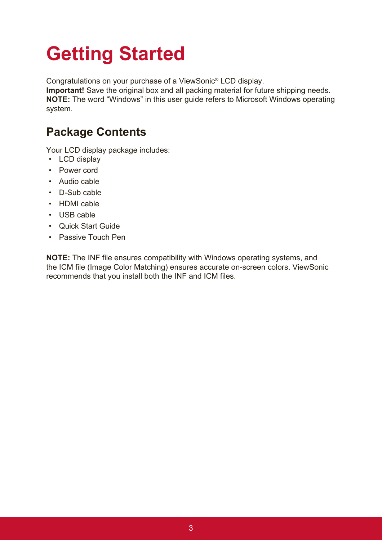# **Getting Started**

Congratulations on your purchase of a ViewSonic® LCD display.

**Important!** Save the original box and all packing material for future shipping needs. **NOTE:** The word "Windows" in this user guide refers to Microsoft Windows operating system.

# **Package Contents**

Your LCD display package includes:

- LCD display
- Power cord
- Audio cable
- D-Sub cable
- HDMI cable
- USB cable
- Quick Start Guide
- Passive Touch Pen

**NOTE:** The INF file ensures compatibility with Windows operating systems, and the ICM file (Image Color Matching) ensures accurate on-screen colors. ViewSonic recommends that you install both the INF and ICM files.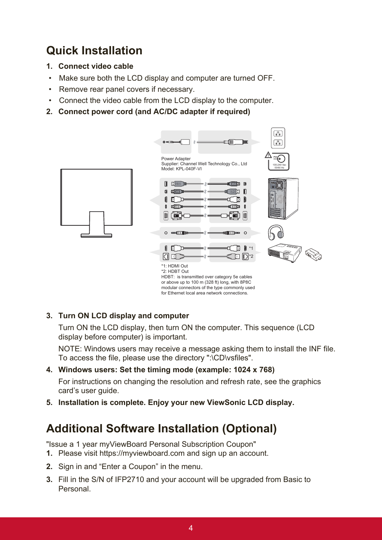# **Quick Installation**

- **1. Connect video cable**
- Make sure both the LCD display and computer are turned OFF.
- Remove rear panel covers if necessary.
- Connect the video cable from the LCD display to the computer.
- **2. Connect power cord (and AC/DC adapter if required)**



### **3. Turn ON LCD display and computer**

Turn ON the LCD display, then turn ON the computer. This sequence (LCD  $\,$ display before computer) is important.

NOTE: Windows users may receive a message asking them to install the INF file. To access the file, please use the directory ":\CD\vsfiles".

#### **4. Windows users: Set the timing mode (example: 1024 x 768)**

For instructions on changing the resolution and refresh rate, see the graphics card's user guide.

**5. Installation is complete. Enjoy your new ViewSonic LCD display.**

### **Additional Software Installation (Optional)**

"Issue a 1 year myViewBoard Personal Subscription Coupon"

- **1.** Please visit https://myviewboard.com and sign up an account.
- **2.** Sign in and "Enter a Coupon" in the menu.
- **3.** Fill in the S/N of IFP2710 and your account will be upgraded from Basic to Personal.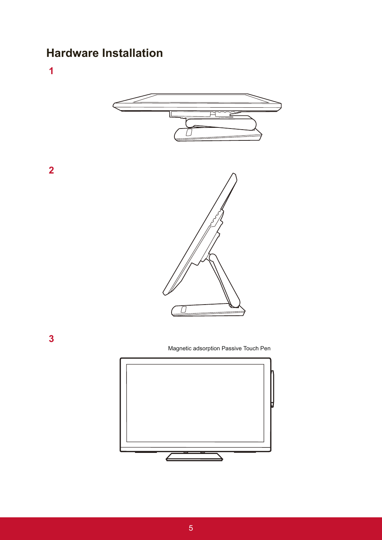### **Hardware Installation**

**1**

**2**

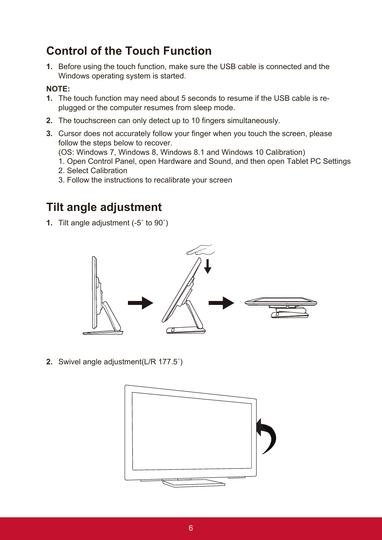### **Control of the Touch Function**

**1.** Before using the touch function, make sure the USB cable is connected and the Windows operating system is started.

### **NOTE:**

- **1.** The touch function may need about 5 seconds to resume if the USB cable is replugged or the computer resumes from sleep mode.
- **2.** The touchscreen can only detect up to 10 fingers simultaneously.
- **3.** Cursor does not accurately follow your finger when you touch the screen, please follow the steps below to recover. (OS: Windows 7, Windows 8, Windows 8.1 and Windows 10 Calibration)
	- 1. Open Control Panel, open Hardware and Sound, and then open Tablet PC Settings
	- 2. Select Calibration
	- 3. Follow the instructions to recalibrate your screen

### **Tilt angle adjustment**

**1.** Tilt angle adjustment (-5˚ to 90˚)



**2.** Swivel angle adjustment(L/R 177.5˚)

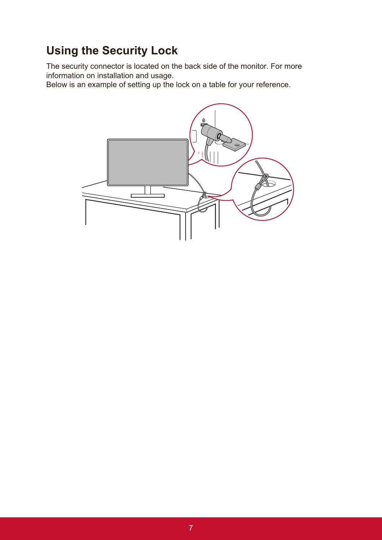# **Using the Security Lock**

The security connector is located on the back side of the monitor. For more information on installation and usage.

Below is an example of setting up the lock on a table for your reference.

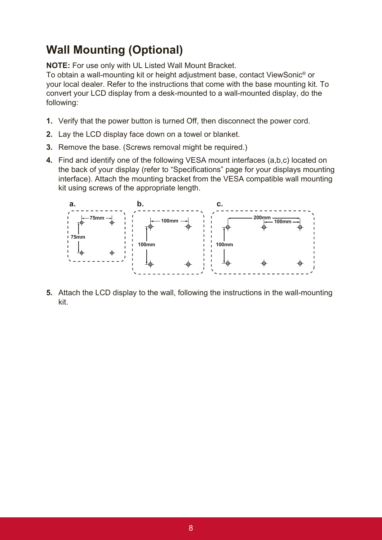## **Wall Mounting (Optional)**

**NOTE:** For use only with UL Listed Wall Mount Bracket.

To obtain a wall-mounting kit or height adjustment base, contact ViewSonic® or your local dealer. Refer to the instructions that come with the base mounting kit. To convert your LCD display from a desk-mounted to a wall-mounted display, do the following:

- **1.** Verify that the power button is turned Off, then disconnect the power cord.
- **2.** Lay the LCD display face down on a towel or blanket.
- **3.** Remove the base. (Screws removal might be required.)
- **4.** Find and identify one of the following VESA mount interfaces (a,b,c) located on the back of your display (refer to "Specifications" page for your displays mounting interface). Attach the mounting bracket from the VESA compatible wall mounting kit using screws of the appropriate length.



**5.** Attach the LCD display to the wall, following the instructions in the wall-mounting kit.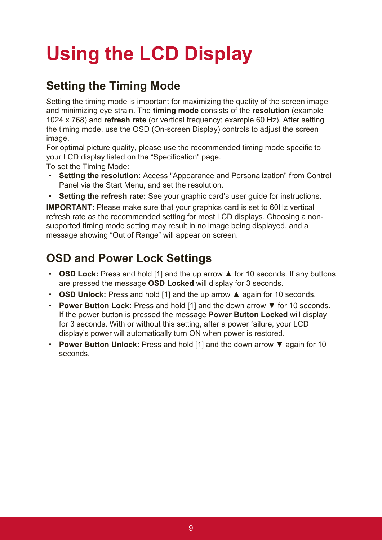# **Using the LCD Display**

# **Setting the Timing Mode**

Setting the timing mode is important for maximizing the quality of the screen image and minimizing eye strain. The **timing mode** consists of the **resolution** (example 1024 x 768) and **refresh rate** (or vertical frequency; example 60 Hz). After setting the timing mode, use the OSD (On-screen Display) controls to adjust the screen image.

For optimal picture quality, please use the recommended timing mode specific to your LCD display listed on the "Specification" page.

To set the Timing Mode:

- **Setting the resolution:** Access "Appearance and Personalization" from Control Panel via the Start Menu, and set the resolution.
- **Setting the refresh rate:** See your graphic card's user guide for instructions.

**IMPORTANT:** Please make sure that your graphics card is set to 60Hz vertical refresh rate as the recommended setting for most LCD displays. Choosing a nonsupported timing mode setting may result in no image being displayed, and a message showing "Out of Range" will appear on screen.

### **OSD and Power Lock Settings**

- **OSD Lock:** Press and hold [1] and the up arrow ▲ for 10 seconds. If any buttons are pressed the message **OSD Locked** will display for 3 seconds.
- **OSD Unlock:** Press and hold [1] and the up arrow ▲ again for 10 seconds.
- **Power Button Lock:** Press and hold [1] and the down arrow ▼ for 10 seconds. If the power button is pressed the message **Power Button Locked** will display for 3 seconds. With or without this setting, after a power failure, your LCD display's power will automatically turn ON when power is restored.
- **Power Button Unlock:** Press and hold [1] and the down arrow ▼ again for 10 seconds.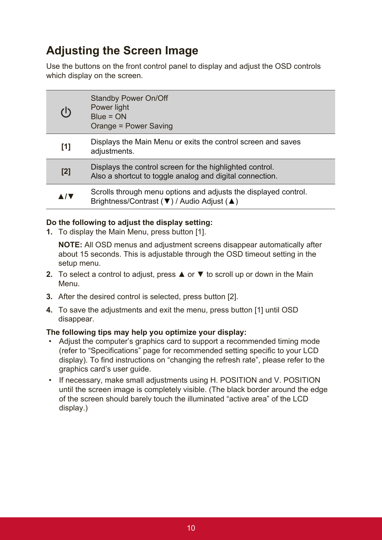## **Adjusting the Screen Image**

Use the buttons on the front control panel to display and adjust the OSD controls which display on the screen.

| (l)        | <b>Standby Power On/Off</b><br>Power light<br>$Blue = ON$<br>Orange = Power Saving                                   |
|------------|----------------------------------------------------------------------------------------------------------------------|
| [1]        | Displays the Main Menu or exits the control screen and saves<br>adjustments.                                         |
| [2]        | Displays the control screen for the highlighted control.<br>Also a shortcut to toggle analog and digital connection. |
| <b>A/V</b> | Scrolls through menu options and adjusts the displayed control.<br>Brightness/Contrast (▼) / Audio Adjust (▲)        |

### **Do the following to adjust the display setting:**

**1.** To display the Main Menu, press button [1].

**NOTE:** All OSD menus and adjustment screens disappear automatically after about 15 seconds. This is adjustable through the OSD timeout setting in the setup menu.

- **2.** To select a control to adjust, press **▲** or ▼ to scroll up or down in the Main Menu.
- **3.** After the desired control is selected, press button [2].
- **4.** To save the adjustments and exit the menu, press button [1] until OSD disappear.

### **The following tips may help you optimize your display:**

- Adjust the computer's graphics card to support a recommended timing mode (refer to "Specifications" page for recommended setting specific to your LCD display). To find instructions on "changing the refresh rate", please refer to the graphics card's user guide.
- If necessary, make small adjustments using H. POSITION and V. POSITION until the screen image is completely visible. (The black border around the edge of the screen should barely touch the illuminated "active area" of the LCD display.)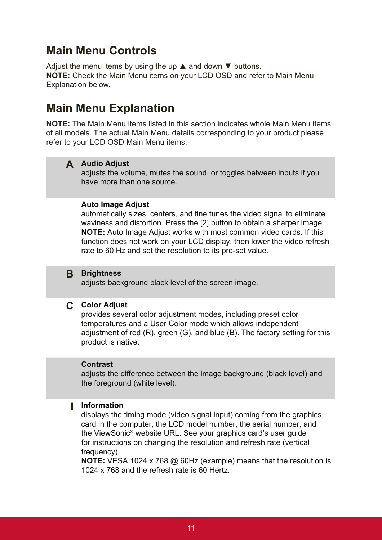### **Main Menu Controls**

Adjust the menu items by using the up  $\triangle$  and down  $\nabla$  buttons. **NOTE:** Check the Main Menu items on your LCD OSD and refer to Main Menu Explanation below.

### **Main Menu Explanation**

**NOTE:** The Main Menu items listed in this section indicates whole Main Menu items of all models. The actual Main Menu details corresponding to your product please refer to your LCD OSD Main Menu items.

### **A Audio Adjust**

adjusts the volume, mutes the sound, or toggles between inputs if you have more than one source.

#### **Auto Image Adjust**

automatically sizes, centers, and fine tunes the video signal to eliminate waviness and distortion. Press the [2] button to obtain a sharper image. **NOTE:** Auto Image Adjust works with most common video cards. If this function does not work on your LCD display, then lower the video refresh rate to 60 Hz and set the resolution to its pre-set value.

#### **B Brightness**

adjusts background black level of the screen image.

#### **C Color Adjust**

provides several color adjustment modes, including preset color temperatures and a User Color mode which allows independent adjustment of red (R), green (G), and blue (B). The factory setting for this product is native.

#### **Contrast**

adjusts the difference between the image background (black level) and the foreground (white level).

#### **I Information**

displays the timing mode (video signal input) coming from the graphics card in the computer, the LCD model number, the serial number, and the ViewSonic® website URL. See your graphics card's user guide for instructions on changing the resolution and refresh rate (vertical frequency).

**NOTE:** VESA 1024 x 768 @ 60Hz (example) means that the resolution is 1024 x 768 and the refresh rate is 60 Hertz.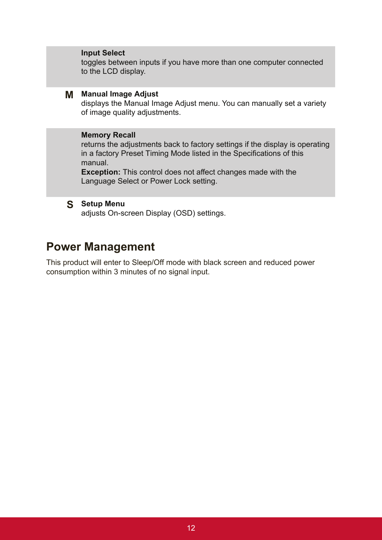#### **Input Select**

toggles between inputs if you have more than one computer connected to the LCD display.

#### **M Manual Image Adjust**

displays the Manual Image Adjust menu. You can manually set a variety of image quality adjustments.

### **Memory Recall**

returns the adjustments back to factory settings if the display is operating in a factory Preset Timing Mode listed in the Specifications of this manual.

**Exception:** This control does not affect changes made with the Language Select or Power Lock setting.

#### **S Setup Menu**

adjusts On-screen Display (OSD) settings.

### **Power Management**

This product will enter to Sleep/Off mode with black screen and reduced power consumption within 3 minutes of no signal input.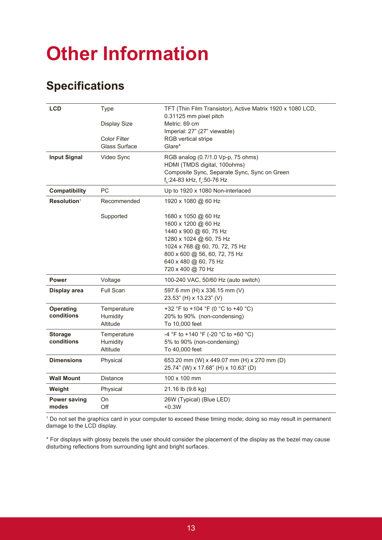# **Other Information**

### **Specifications**

| <b>LCD</b>                     | <b>Type</b>                                 | TFT (Thin Film Transistor), Active Matrix 1920 x 1080 LCD,<br>0.31125 mm pixel pitch                                                                                                                             |
|--------------------------------|---------------------------------------------|------------------------------------------------------------------------------------------------------------------------------------------------------------------------------------------------------------------|
|                                | <b>Display Size</b>                         | Metric: 69 cm<br>Imperial: 27" (27" viewable)                                                                                                                                                                    |
|                                | <b>Color Filter</b><br><b>Glass Surface</b> | <b>RGB</b> vertical stripe<br>Glare*                                                                                                                                                                             |
| <b>Input Signal</b>            | Video Sync                                  | RGB analog (0.7/1.0 Vp-p, 75 ohms)<br>HDMI (TMDS digital, 100ohms)<br>Composite Sync, Separate Sync, Sync on Green<br>f <sub>1</sub> :24-83 kHz, f <sub>1</sub> :50-76 Hz                                        |
| <b>Compatibility</b>           | <b>PC</b>                                   | Up to 1920 x 1080 Non-interlaced                                                                                                                                                                                 |
| Resolution <sup>1</sup>        | Recommended                                 | 1920 x 1080 @ 60 Hz                                                                                                                                                                                              |
|                                | Supported                                   | 1680 x 1050 @ 60 Hz<br>1600 x 1200 @ 60 Hz<br>1440 x 900 @ 60, 75 Hz<br>1280 x 1024 @ 60, 75 Hz<br>1024 x 768 @ 60, 70, 72, 75 Hz<br>800 x 600 @ 56, 60, 72, 75 Hz<br>640 x 480 @ 60, 75 Hz<br>720 x 400 @ 70 Hz |
| <b>Power</b>                   | Voltage                                     | 100-240 VAC, 50/60 Hz (auto switch)                                                                                                                                                                              |
| Display area                   | Full Scan                                   | 597.6 mm (H) x 336.15 mm (V)<br>23.53" (H) x 13.23" (V)                                                                                                                                                          |
| <b>Operating</b><br>conditions | Temperature<br>Humidity                     | +32 °F to +104 °F (0 °C to +40 °C)<br>20% to 90% (non-condensing)                                                                                                                                                |
|                                | Altitude                                    | To 10,000 feet                                                                                                                                                                                                   |
| <b>Storage</b>                 | Temperature                                 | -4 °F to +140 °F (-20 °C to +60 °C)                                                                                                                                                                              |
| conditions                     | Humidity<br>Altitude                        | 5% to 90% (non-condensing)<br>To 40,000 feet                                                                                                                                                                     |
| <b>Dimensions</b>              | Physical                                    | 653.20 mm (W) x 449.07 mm (H) x 270 mm (D)<br>25.74" (W) x 17.68" (H) x 10.63" (D)                                                                                                                               |
| <b>Wall Mount</b>              | <b>Distance</b>                             | 100 x 100 mm                                                                                                                                                                                                     |
| Weight                         | Physical                                    | 21.16 lb (9.6 kg)                                                                                                                                                                                                |
| <b>Power saving</b><br>modes   | On<br>Off                                   | 26W (Typical) (Blue LED)<br>$0.3W$                                                                                                                                                                               |

1 Do not set the graphics card in your computer to exceed these timing mode; doing so may result in permanent damage to the LCD display.

\* For displays with glossy bezels the user should consider the placement of the display as the bezel may cause disturbing reflections from surrounding light and bright surfaces.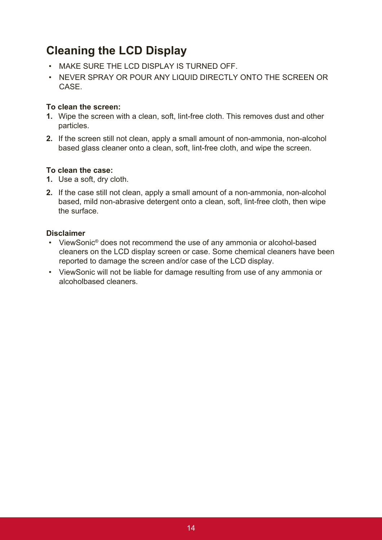### **Cleaning the LCD Display**

- MAKE SURE THE LCD DISPLAY IS TURNED OFF.
- NEVER SPRAY OR POUR ANY LIQUID DIRECTLY ONTO THE SCREEN OR **CASE**

### **To clean the screen:**

- **1.** Wipe the screen with a clean, soft, lint-free cloth. This removes dust and other particles.
- **2.** If the screen still not clean, apply a small amount of non-ammonia, non-alcohol based glass cleaner onto a clean, soft, lint-free cloth, and wipe the screen.

### **To clean the case:**

- **1.** Use a soft, dry cloth.
- **2.** If the case still not clean, apply a small amount of a non-ammonia, non-alcohol based, mild non-abrasive detergent onto a clean, soft, lint-free cloth, then wipe the surface.

### **Disclaimer**

- ViewSonic® does not recommend the use of any ammonia or alcohol-based cleaners on the LCD display screen or case. Some chemical cleaners have been reported to damage the screen and/or case of the LCD display.
- ViewSonic will not be liable for damage resulting from use of any ammonia or alcoholbased cleaners.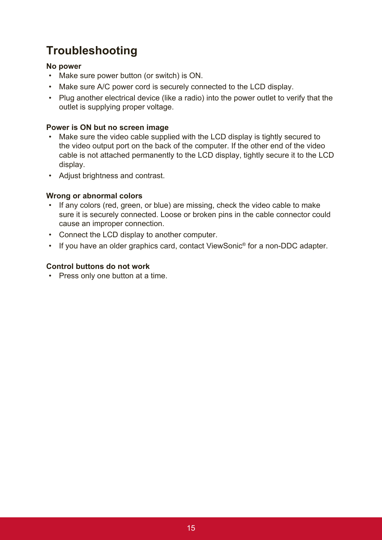# **Troubleshooting**

### **No power**

- Make sure power button (or switch) is ON.
- Make sure A/C power cord is securely connected to the LCD display.
- Plug another electrical device (like a radio) into the power outlet to verify that the outlet is supplying proper voltage.

### **Power is ON but no screen image**

- Make sure the video cable supplied with the LCD display is tightly secured to the video output port on the back of the computer. If the other end of the video cable is not attached permanently to the LCD display, tightly secure it to the LCD display.
- Adjust brightness and contrast.

### **Wrong or abnormal colors**

- If any colors (red, green, or blue) are missing, check the video cable to make sure it is securely connected. Loose or broken pins in the cable connector could cause an improper connection.
- Connect the LCD display to another computer.
- If you have an older graphics card, contact ViewSonic® for a non-DDC adapter.

### **Control buttons do not work**

• Press only one button at a time.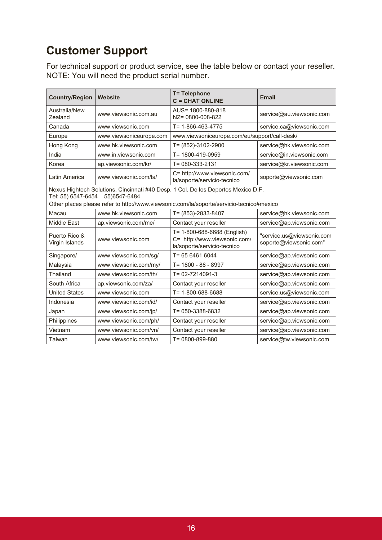# **Customer Support**

For technical support or product service, see the table below or contact your reseller. NOTE: You will need the product serial number.

| <b>Country/Region</b>                                                                                                                                                                                                | Website                 | <b>T= Telephone</b><br>$C = CHAT$ ONLINE                                                   | <b>Email</b>                                        |
|----------------------------------------------------------------------------------------------------------------------------------------------------------------------------------------------------------------------|-------------------------|--------------------------------------------------------------------------------------------|-----------------------------------------------------|
| Australia/New<br>Zealand                                                                                                                                                                                             | www.viewsonic.com.au    | AUS= 1800-880-818<br>NZ= 0800-008-822                                                      | service@au.viewsonic.com                            |
| Canada                                                                                                                                                                                                               | www.viewsonic.com       | $T = 1 - 866 - 463 - 4775$                                                                 | service.ca@viewsonic.com                            |
| Europe                                                                                                                                                                                                               | www.viewsoniceurope.com | www.viewsoniceurope.com/eu/support/call-desk/                                              |                                                     |
| Hong Kong                                                                                                                                                                                                            | www.hk.viewsonic.com    | T= (852)-3102-2900                                                                         | service@hk.viewsonic.com                            |
| India                                                                                                                                                                                                                | www.in.viewsonic.com    | T= 1800-419-0959                                                                           | service@in.viewsonic.com                            |
| Korea                                                                                                                                                                                                                | ap.viewsonic.com/kr/    | $T = 080 - 333 - 2131$                                                                     | service@kr.viewsonic.com                            |
| Latin America                                                                                                                                                                                                        | www.viewsonic.com/la/   | C= http://www.viewsonic.com/<br>la/soporte/servicio-tecnico                                | soporte@viewsonic.com                               |
| Nexus Hightech Solutions, Cincinnati #40 Desp. 1 Col. De los Deportes Mexico D.F.<br>Tel: 55) 6547-6454<br>55) 6547-6484<br>Other places please refer to http://www.viewsonic.com/la/soporte/servicio-tecnico#mexico |                         |                                                                                            |                                                     |
| Macau                                                                                                                                                                                                                | www.hk.viewsonic.com    | T= (853)-2833-8407                                                                         | service@hk.viewsonic.com                            |
| Middle East                                                                                                                                                                                                          | ap.viewsonic.com/me/    | Contact your reseller                                                                      | service@ap.viewsonic.com                            |
| Puerto Rico &<br>Virgin Islands                                                                                                                                                                                      | www.viewsonic.com       | T= 1-800-688-6688 (English)<br>C= http://www.viewsonic.com/<br>la/soporte/servicio-tecnico | "service.us@viewsonic.com<br>soporte@viewsonic.com" |
| Singapore/                                                                                                                                                                                                           | www.viewsonic.com/sg/   | T= 65 6461 6044                                                                            | service@ap.viewsonic.com                            |
| Malaysia                                                                                                                                                                                                             | www.viewsonic.com/my/   | T= 1800 - 88 - 8997                                                                        | service@ap.viewsonic.com                            |
| Thailand                                                                                                                                                                                                             | www.viewsonic.com/th/   | $T = 02 - 7214091 - 3$                                                                     | service@ap.viewsonic.com                            |
| South Africa                                                                                                                                                                                                         | ap.viewsonic.com/za/    | Contact your reseller                                                                      | service@ap.viewsonic.com                            |
| <b>United States</b>                                                                                                                                                                                                 | www.viewsonic.com       | T= 1-800-688-6688                                                                          | service.us@viewsonic.com                            |
| Indonesia                                                                                                                                                                                                            | www.viewsonic.com/id/   | Contact your reseller                                                                      | service@ap.viewsonic.com                            |
| Japan                                                                                                                                                                                                                | www.viewsonic.com/jp/   | T= 050-3388-6832                                                                           | service@ap.viewsonic.com                            |
| Philippines                                                                                                                                                                                                          | www.viewsonic.com/ph/   | Contact your reseller                                                                      | service@ap.viewsonic.com                            |
| Vietnam                                                                                                                                                                                                              | www.viewsonic.com/vn/   | Contact your reseller                                                                      | service@ap.viewsonic.com                            |
| Taiwan                                                                                                                                                                                                               | www.viewsonic.com/tw/   | T= 0800-899-880                                                                            | service@tw.viewsonic.com                            |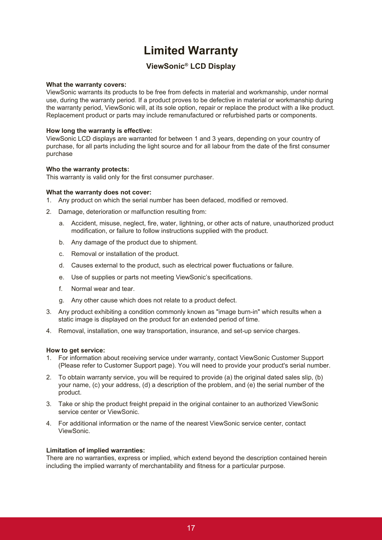### **Limited Warranty**

### **ViewSonic® LCD Display**

#### **What the warranty covers:**

ViewSonic warrants its products to be free from defects in material and workmanship, under normal use, during the warranty period. If a product proves to be defective in material or workmanship during the warranty period, ViewSonic will, at its sole option, repair or replace the product with a like product. Replacement product or parts may include remanufactured or refurbished parts or components.

#### **How long the warranty is effective:**

ViewSonic LCD displays are warranted for between 1 and 3 years, depending on your country of purchase, for all parts including the light source and for all labour from the date of the first consumer purchase

#### **Who the warranty protects:**

This warranty is valid only for the first consumer purchaser.

#### **What the warranty does not cover:**

- 1. Any product on which the serial number has been defaced, modified or removed.
- 2. Damage, deterioration or malfunction resulting from:
	- a. Accident, misuse, neglect, fire, water, lightning, or other acts of nature, unauthorized product modification, or failure to follow instructions supplied with the product.
	- b. Any damage of the product due to shipment.
	- c. Removal or installation of the product.
	- d. Causes external to the product, such as electrical power fluctuations or failure.
	- e. Use of supplies or parts not meeting ViewSonic's specifications.
	- f. Normal wear and tear.
	- g. Any other cause which does not relate to a product defect.
- 3. Any product exhibiting a condition commonly known as "image burn-in" which results when a static image is displayed on the product for an extended period of time.
- 4. Removal, installation, one way transportation, insurance, and set-up service charges.

#### **How to get service:**

- 1. For information about receiving service under warranty, contact ViewSonic Customer Support (Please refer to Customer Support page). You will need to provide your product's serial number.
- 2. To obtain warranty service, you will be required to provide (a) the original dated sales slip, (b) your name, (c) your address, (d) a description of the problem, and (e) the serial number of the product.
- 3. Take or ship the product freight prepaid in the original container to an authorized ViewSonic service center or ViewSonic.
- 4. For additional information or the name of the nearest ViewSonic service center, contact ViewSonic.

#### **Limitation of implied warranties:**

There are no warranties, express or implied, which extend beyond the description contained herein including the implied warranty of merchantability and fitness for a particular purpose.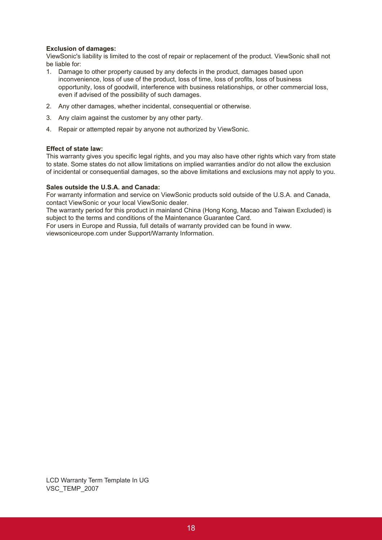#### **Exclusion of damages:**

ViewSonic's liability is limited to the cost of repair or replacement of the product. ViewSonic shall not be liable for:

- 1. Damage to other property caused by any defects in the product, damages based upon inconvenience, loss of use of the product, loss of time, loss of profits, loss of business opportunity, loss of goodwill, interference with business relationships, or other commercial loss, even if advised of the possibility of such damages.
- 2. Any other damages, whether incidental, consequential or otherwise.
- 3. Any claim against the customer by any other party.
- 4. Repair or attempted repair by anyone not authorized by ViewSonic.

#### **Effect of state law:**

This warranty gives you specific legal rights, and you may also have other rights which vary from state to state. Some states do not allow limitations on implied warranties and/or do not allow the exclusion of incidental or consequential damages, so the above limitations and exclusions may not apply to you.

#### **Sales outside the U.S.A. and Canada:**

For warranty information and service on ViewSonic products sold outside of the U.S.A. and Canada, contact ViewSonic or your local ViewSonic dealer.

The warranty period for this product in mainland China (Hong Kong, Macao and Taiwan Excluded) is subject to the terms and conditions of the Maintenance Guarantee Card.

For users in Europe and Russia, full details of warranty provided can be found in www. viewsoniceurope.com under Support/Warranty Information.

LCD Warranty Term Template In UG VSC\_TEMP\_2007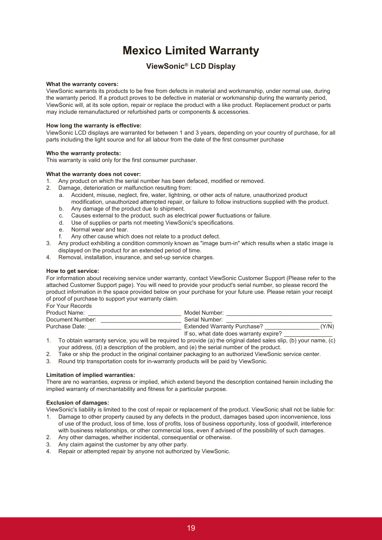### **Mexico Limited Warranty**

### **ViewSonic® LCD Display**

#### **What the warranty covers:**

ViewSonic warrants its products to be free from defects in material and workmanship, under normal use, during the warranty period. If a product proves to be defective in material or workmanship during the warranty period, ViewSonic will, at its sole option, repair or replace the product with a like product. Replacement product or parts may include remanufactured or refurbished parts or components & accessories.

#### **How long the warranty is effective:**

ViewSonic LCD displays are warranted for between 1 and 3 years, depending on your country of purchase, for all parts including the light source and for all labour from the date of the first consumer purchase

#### **Who the warranty protects:**

This warranty is valid only for the first consumer purchaser.

#### **What the warranty does not cover:**

- 1. Any product on which the serial number has been defaced, modified or removed.
- 2. Damage, deterioration or malfunction resulting from:
	- a. Accident, misuse, neglect, fire, water, lightning, or other acts of nature, unauthorized product modification, unauthorized attempted repair, or failure to follow instructions supplied with the product.
	- b. Any damage of the product due to shipment.
	- c. Causes external to the product, such as electrical power fluctuations or failure.
	- d. Use of supplies or parts not meeting ViewSonic's specifications.
	- e. Normal wear and tear.
	- f. Any other cause which does not relate to a product defect.
- 3. Any product exhibiting a condition commonly known as "image burn-in" which results when a static image is displayed on the product for an extended period of time.
- 4. Removal, installation, insurance, and set-up service charges.

#### **How to get service:**

For information about receiving service under warranty, contact ViewSonic Customer Support (Please refer to the attached Customer Support page). You will need to provide your product's serial number, so please record the product information in the space provided below on your purchase for your future use. Please retain your receipt of proof of purchase to support your warranty claim.

For Your Records

| Product Name:    | Model Number:                          |       |
|------------------|----------------------------------------|-------|
| Document Number: | Serial Number:                         |       |
| Purchase Date:   | <b>Extended Warranty Purchase?</b>     | (Y/N) |
|                  | If so, what date does warranty expire? |       |

- 1. To obtain warranty service, you will be required to provide (a) the original dated sales slip, (b) your name, (c) your address, (d) a description of the problem, and (e) the serial number of the product.
- 2. Take or ship the product in the original container packaging to an authorized ViewSonic service center.
- 3. Round trip transportation costs for in-warranty products will be paid by ViewSonic.

#### **Limitation of implied warranties:**

There are no warranties, express or implied, which extend beyond the description contained herein including the implied warranty of merchantability and fitness for a particular purpose.

#### **Exclusion of damages:**

ViewSonic's liability is limited to the cost of repair or replacement of the product. ViewSonic shall not be liable for:

- 1. Damage to other property caused by any defects in the product, damages based upon inconvenience, loss of use of the product, loss of time, loss of profits, loss of business opportunity, loss of goodwill, interference with business relationships, or other commercial loss, even if advised of the possibility of such damages.
- 2. Any other damages, whether incidental, consequential or otherwise.
- 3. Any claim against the customer by any other party.
- 4. Repair or attempted repair by anyone not authorized by ViewSonic.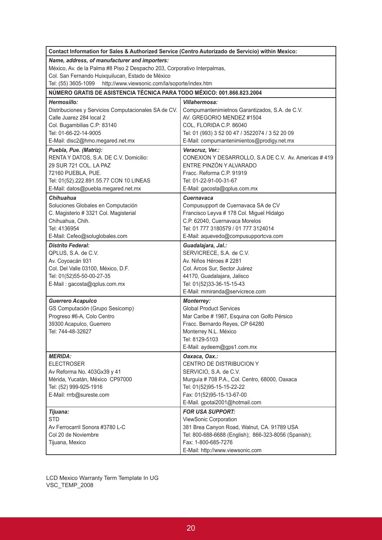| Contact Information for Sales & Authorized Service (Centro Autorizado de Servicio) within Mexico: |                                                                                 |
|---------------------------------------------------------------------------------------------------|---------------------------------------------------------------------------------|
| Name, address, of manufacturer and importers:                                                     |                                                                                 |
| México, Av. de la Palma #8 Piso 2 Despacho 203, Corporativo Interpalmas,                          |                                                                                 |
| Col. San Fernando Huixquilucan, Estado de México                                                  |                                                                                 |
| http://www.viewsonic.com/la/soporte/index.htm<br>Tel: (55) 3605-1099                              |                                                                                 |
| NÚMERO GRATIS DE ASISTENCIA TÉCNICA PARA TODO MÉXICO: 001.866.823.2004                            |                                                                                 |
| Hermosillo:                                                                                       | <b>Villahermosa:</b>                                                            |
| Distribuciones y Servicios Computacionales SA de CV.                                              | Compumantenimietnos Garantizados, S.A. de C.V.                                  |
| Calle Juarez 284 local 2                                                                          | AV. GREGORIO MENDEZ #1504                                                       |
| Col. Bugambilias C.P: 83140                                                                       | COL, FLORIDA C.P. 86040                                                         |
| Tel: 01-66-22-14-9005                                                                             | Tel: 01 (993) 3 52 00 47 / 3522074 / 3 52 20 09                                 |
| E-Mail: disc2@hmo.megared.net.mx                                                                  | E-Mail: compumantenimientos@prodigy.net.mx                                      |
| Puebla, Pue. (Matriz):                                                                            | Veracruz, Ver.:                                                                 |
| RENTA Y DATOS, S.A. DE C.V. Domicilio:                                                            | CONEXION Y DESARROLLO, S.A DE C.V. Av. Americas #419                            |
| 29 SUR 721 COL. LA PAZ                                                                            | ENTRE PINZÓN Y ALVARADO                                                         |
| 72160 PUEBLA, PUE.                                                                                | Fracc. Reforma C.P. 91919                                                       |
| Tel: 01(52).222.891.55.77 CON 10 LINEAS                                                           | Tel: 01-22-91-00-31-67                                                          |
| E-Mail: datos@puebla.megared.net.mx                                                               | E-Mail: gacosta@qplus.com.mx                                                    |
| <b>Chihuahua</b>                                                                                  | Cuernavaca                                                                      |
| Soluciones Globales en Computación                                                                | Compusupport de Cuernavaca SA de CV                                             |
| C. Magisterio # 3321 Col. Magisterial                                                             | Francisco Leyva # 178 Col. Miguel Hidalgo                                       |
| Chihuahua, Chih.                                                                                  | C.P. 62040, Cuernavaca Morelos                                                  |
| Tel: 4136954                                                                                      | Tel: 01 777 3180579 / 01 777 3124014                                            |
| E-Mail: Cefeo@soluglobales.com                                                                    | E-Mail: aquevedo@compusupportcva.com                                            |
| <b>Distrito Federal:</b>                                                                          | Guadalajara, Jal.:                                                              |
| QPLUS, S.A. de C.V.                                                                               | SERVICRECE, S.A. de C.V.                                                        |
| Av. Coyoacán 931                                                                                  | Av. Niños Héroes # 2281                                                         |
| Col. Del Valle 03100, México, D.F.                                                                | Col. Arcos Sur, Sector Juárez                                                   |
| Tel: 01(52)55-50-00-27-35                                                                         | 44170, Guadalajara, Jalisco                                                     |
| E-Mail: gacosta@qplus.com.mx                                                                      | Tel: 01(52)33-36-15-15-43                                                       |
|                                                                                                   | E-Mail: mmiranda@servicrece.com                                                 |
| <b>Guerrero Acapulco</b>                                                                          | <b>Monterrey:</b><br><b>Global Product Services</b>                             |
| GS Computación (Grupo Sesicomp)<br>Progreso #6-A, Colo Centro                                     |                                                                                 |
|                                                                                                   | Mar Caribe # 1987, Esquina con Golfo Pérsico<br>Fracc. Bernardo Reyes, CP 64280 |
| 39300 Acapulco, Guerrero<br>Tel: 744-48-32627                                                     | Monterrey N.L. México                                                           |
|                                                                                                   | Tel: 8129-5103                                                                  |
|                                                                                                   | E-Mail: aydeem@gps1.com.mx                                                      |
| <b>MERIDA:</b>                                                                                    | Oaxaca, Oax.:                                                                   |
| <b>ELECTROSER</b>                                                                                 | CENTRO DE DISTRIBUCION Y                                                        |
| Av Reforma No. 403Gx39 y 41                                                                       | SERVICIO, S.A. de C.V.                                                          |
| Mérida, Yucatán, México CP97000                                                                   | Murguía #708 P.A., Col. Centro, 68000, Oaxaca                                   |
| Tel: (52) 999-925-1916                                                                            | Tel: 01(52)95-15-15-22-22                                                       |
| E-Mail: rrrb@sureste.com                                                                          | Fax: 01(52)95-15-13-67-00                                                       |
|                                                                                                   | E-Mail. gpotai2001@hotmail.com                                                  |
| Tijuana:                                                                                          | <b>FOR USA SUPPORT:</b>                                                         |
| <b>STD</b>                                                                                        | ViewSonic Corporation                                                           |
| Av Ferrocarril Sonora #3780 L-C                                                                   | 381 Brea Canyon Road, Walnut, CA. 91789 USA                                     |
| Col 20 de Noviembre                                                                               | Tel: 800-688-6688 (English); 866-323-8056 (Spanish);                            |
| Tijuana, Mexico                                                                                   | Fax: 1-800-685-7276                                                             |
|                                                                                                   | E-Mail: http://www.viewsonic.com                                                |

LCD Mexico Warranty Term Template In UG VSC\_TEMP\_2008